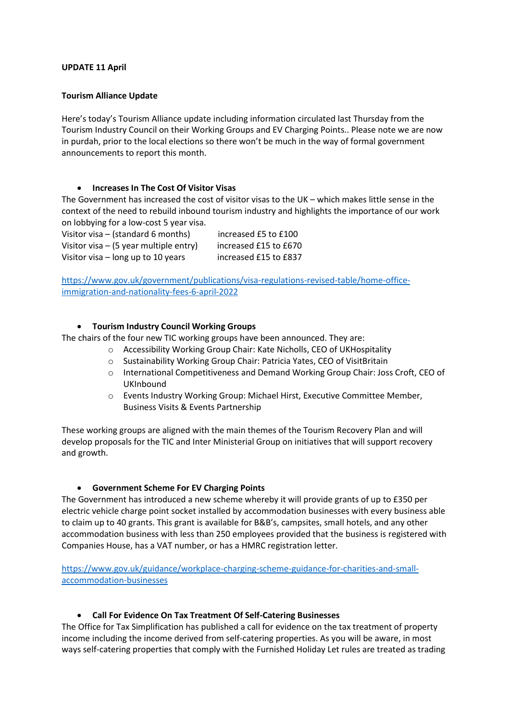#### **UPDATE 11 April**

#### **Tourism Alliance Update**

Here's today's Tourism Alliance update including information circulated last Thursday from the Tourism Industry Council on their Working Groups and EV Charging Points.. Please note we are now in purdah, prior to the local elections so there won't be much in the way of formal government announcements to report this month.

#### **Increases In The Cost Of Visitor Visas**

The Government has increased the cost of visitor visas to the UK – which makes little sense in the context of the need to rebuild inbound tourism industry and highlights the importance of our work on lobbying for a low-cost 5 year visa.

Visitor visa – (standard 6 months) increased £5 to £100 Visitor visa – (5 year multiple entry) increased  $£15$  to  $£670$ 

Visitor visa – long up to 10 years increased £15 to £837

[https://www.gov.uk/government/publications/visa-regulations-revised-table/home-office](https://www.gov.uk/government/publications/visa-regulations-revised-table/home-office-immigration-and-nationality-fees-6-april-2022)[immigration-and-nationality-fees-6-april-2022](https://www.gov.uk/government/publications/visa-regulations-revised-table/home-office-immigration-and-nationality-fees-6-april-2022)

## **Tourism Industry Council Working Groups**

The chairs of the four new TIC working groups have been announced. They are:

- o Accessibility Working Group Chair: Kate Nicholls, CEO of UKHospitality
- o Sustainability Working Group Chair: Patricia Yates, CEO of VisitBritain
- o International Competitiveness and Demand Working Group Chair: Joss Croft, CEO of UKInbound
- o Events Industry Working Group: Michael Hirst, Executive Committee Member, Business Visits & Events Partnership

These working groups are aligned with the main themes of the Tourism Recovery Plan and will develop proposals for the TIC and Inter Ministerial Group on initiatives that will support recovery and growth.

## **Government Scheme For EV Charging Points**

The Government has introduced a new scheme whereby it will provide grants of up to £350 per electric vehicle charge point socket installed by accommodation businesses with every business able to claim up to 40 grants. This grant is available for B&B's, campsites, small hotels, and any other accommodation business with less than 250 employees provided that the business is registered with Companies House, has a VAT number, or has a HMRC registration letter.

[https://www.gov.uk/guidance/workplace-charging-scheme-guidance-for-charities-and-small](https://www.gov.uk/guidance/workplace-charging-scheme-guidance-for-charities-and-small-accommodation-businesses)[accommodation-businesses](https://www.gov.uk/guidance/workplace-charging-scheme-guidance-for-charities-and-small-accommodation-businesses)

## **Call For Evidence On Tax Treatment Of Self-Catering Businesses**

The Office for Tax Simplification has published a call for evidence on the tax treatment of property income including the income derived from self-catering properties. As you will be aware, in most ways self-catering properties that comply with the Furnished Holiday Let rules are treated as trading